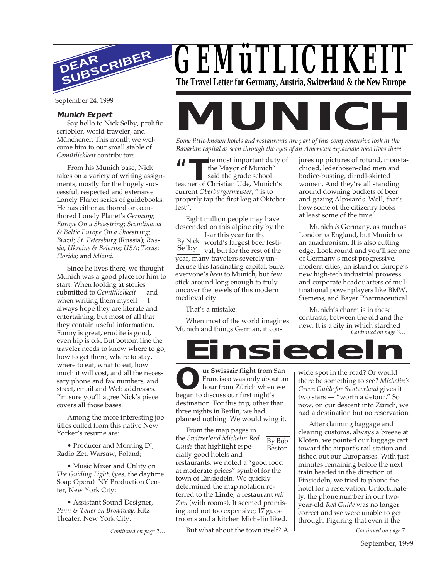

#### **Munich Expert**

Say hello to Nick Selby, prolific scribbler, world traveler, and Münchener. This month we welcome him to our small stable of *Gemütlichkeit* contributors.

From his Munich base, Nick takes on a variety of writing assignments, mostly for the hugely successful, respected and extensive Lonely Planet series of guidebooks. He has either authored or coauthored Lonely Planet's *Germany*; *Europe On a Shoestring*; *Scandinavia & Baltic Europe On a Shoestring*; *Brazil*; *St. Petersburg* (Russia); *Russia*, *Ukraine & Belarus*; *USA*; *Texas*; *Florida;* and *Miami.*

Since he lives there, we thought Munich was a good place for him to start. When looking at stories submitted to *Gemütlichkeit* — and when writing them myself — I always hope they are literate and entertaining, but most of all that they contain useful information. Funny is great, erudite is good, even hip is o.k. But bottom line the traveler needs to know where to go, how to get there, where to stay, where to eat, what to eat, how much it will cost, and all the necessary phone and fax numbers, and street, email and Web addresses. I'm sure you'll agree Nick's piece covers all those bases.

Among the more interesting job titles culled from this native New Yorker's resume are:

• Producer and Morning DJ, Radio Zet, Warsaw, Poland;

• Music Mixer and Utility on *The Guiding Light*, (yes, the daytime Soap Opera) NY Production Center, New York City;

• Assistant Sound Designer, *Penn & Teller on Broadway*, Ritz Theater, New York City.

*Continued on page 2…*

*GEMüTLICHKEIT* **The Travel Letter for Germany, Austria, Switzerland & the New Europe**

September 24, 1999<br> **Munich Expert**<br>
Say hello to Nick Selby, prolific<br>
scribbler, world traveler, and<br>
Münchener. This month we wel-<br>
Some little-known hotels and restaurants are nart of this commentaire look at the

*Some little-known hotels and restaurants are part of this comprehensive look at the Bavarian capital as seen through the eyes of an American expatriate who lives there.*

**THE THE SET SET OF STARK STARK STARK STARK STARK STARK STARK STARK STARK STARK STARK STARK STARK STARK STARK STARK STARK STARK STARK STARK STARK STARK STARK STARK STARK STARK STARK STARK STARK STARK STARK STARK STARK STAR** he most important duty of the Mayor of Munich" said the grade school current *Oberbürgermeister*, " is to properly tap the first keg at Oktoberfest".

By Nick world's largest beer festi-Selby val, but for the rest of the Eight million people may have descended on this alpine city by the - Isar this year for the year, many travelers severely underuse this fascinating capital. Sure, everyone's *been* to Munich, but few stick around long enough to truly uncover the jewels of this modern medieval city.

That's a mistake.

When most of the world imagines Munich and things German, it conjures up pictures of rotund, moustachioed, lederhosen-clad men and bodice-busting, dirndl-skirted women. And they're all standing around downing buckets of beer and gazing Alpwards. Well, that's how some of the citizenry looks at least some of the time!

Munich *is* Germany*,* as much as London *is* England, but Munich *is* an anachronism. It is also cutting edge. Look round and you'll see one of Germany's most progressive, modern cities, an island of Europe's new high-tech industrial prowess and corporate headquarters of multinational power players like BMW, Siemens, and Bayer Pharmaceutical.

*Continued on page 3…* Munich's charm is in these contrasts, between the old and the new. It is a city in which starched

**Einsiedeln**

**O e** Francisco was only about<br>hour from Zürich when<br>began to discuss our first night's ur **Swissair** flight from San Francisco was only about an hour from Zürich when we destination. For this trip, other than three nights in Berlin, we had planned nothing. We would wing it.

By Bob Bestor From the map pages in the *Switzerland Michelin Red Guide* that highlight especially good hotels and restaurants, we noted a "good food at moderate prices" symbol for the town of Einsiedeln. We quickly determined the map notation referred to the **Linde**, a restaurant *mit Zim* (with rooms). It seemed promising and not too expensive; 17 guestrooms and a kitchen Michelin liked.

But what about the town itself? A

wide spot in the road? Or would there be something to see? *Michelin's Green Guide for Switzerland* gives it two stars — "worth a detour." So now, on our descent into Zürich, we had a destination but no reservation.

After claiming baggage and clearing customs, always a breeze at Kloten, we pointed our luggage cart toward the airport's rail station and fished out our Europasses. With just minutes remaining before the next train headed in the direction of Einsiedeln, we tried to phone the hotel for a reservation. Unfortunately, the phone number in our twoyear-old *Red Guide* was no longer correct and we were unable to get through. Figuring that even if the

*Continued on page 7…*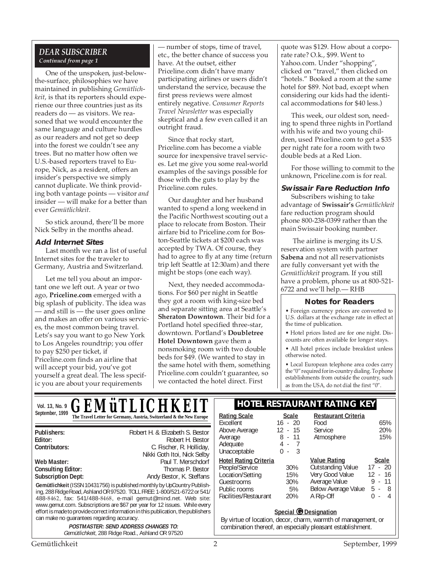#### *DEAR SUBSCRIBER Continued from page 1*

One of the unspoken, just-belowthe-surface, philosophies we have maintained in publishing *Gemütlichkeit*, is that its reporters should experience our three countries just as its readers do — as visitors. We reasoned that we would encounter the same language and culture hurdles as our readers and not get so deep into the forest we couldn't see any trees. But no matter how often we U.S.-based reporters travel to Europe, Nick, as a resident, offers an insider's perspective we simply cannot duplicate. We think providing both vantage points — visitor *and* insider — will make for a better than ever *Gemütlichkeit*.

So stick around, there'll be more Nick Selby in the months ahead.

#### **Add Internet Sites**

Last month we ran a list of useful Internet sites for the traveler to Germany, Austria and Switzerland.

Let me tell you about an important one we left out. A year or two ago, **Priceline.com** emerged with a big splash of publicity. The idea was — and still is — the user goes online and makes an offer on various services, the most common being travel. Lets's say you want to go New York to Los Angeles roundtrip; you offer to pay \$250 per ticket, if Priceline.com finds an airline that will accept your bid, you've got yourself a great deal. The less specific you are about your requirements

— number of stops, time of travel, etc., the better chance of success you have. At the outset, either Priceline.com didn't have many participating airlines or users didn't understand the service, because the first press reviews were almost entirely negative. *Consumer Reports Travel Newsletter* was especially skeptical and a few even called it an outright fraud.

Since that rocky start, Priceline.com has become a viable source for inexpensive travel services. Let me give you some real-world examples of the savings possible for those with the guts to play by the Priceline.com rules.

Our daughter and her husband wanted to spend a long weekend in the Pacific Northwest scouting out a place to relocate from Boston. Their airfare bid to Priceline.com for Boston-Seattle tickets at \$200 each was accepted by TWA. Of course, they had to agree to fly at any time (return trip left Seattle at 12:30am) and there might be stops (one each way).

Next, they needed accommodations. For \$60 per night in Seattle they got a room with king-size bed and separate sitting area at Seattle's **Sheraton Downtown**. Their bid for a Portland hotel specified three-star, downtown. Portland's **Doubletree Hotel Downtown** gave them a nonsmoking room with two double beds for \$49. (We wanted to stay in the same hotel with them, something Priceline.com couldn't guarantee, so we contacted the hotel direct. First

quote was \$129. How about a corporate rate? O.k., \$99. Went to Yahoo.com. Under "shopping", clicked on "travel," then clicked on "hotels." Booked a room at the same hotel for \$89. Not bad, except when considering our kids had the identical accommodations for \$40 less.)

This week, our oldest son, needing to spend three nights in Portland with his wife and two young children, used Priceline.com to get a \$35 per night rate for a room with two double beds at a Red Lion.

For those willing to commit to the unknown, Priceline.com is for real.

#### **Swissair Fare Reduction Info**

Subscribers wishing to take advantage of **Swissair's** *Gemütlichkeit* fare reduction program should phone 800-238-0399 rather than the main Swissair booking number.

 The airline is merging its U.S. reservation system with partner **Sabena** and not all reservationists are fully conversant yet with the *Gemütlichkeit* program. If you still have a problem, phone us at 800-521- 6722 and we'll help.— RHB

#### **Notes for Readers**

• Foreign currency prices are converted to U.S. dollars at the exchange rate in effect at the time of publication.

• Hotel prices listed are for one night. Discounts are often available for longer stays.

• All hotel prices include breakfast unless otherwise noted.

• Local European telephone area codes carry the "0" required for in-country dialing. To phone establishments from outside the country, such as from the USA, do not dial the first "0".

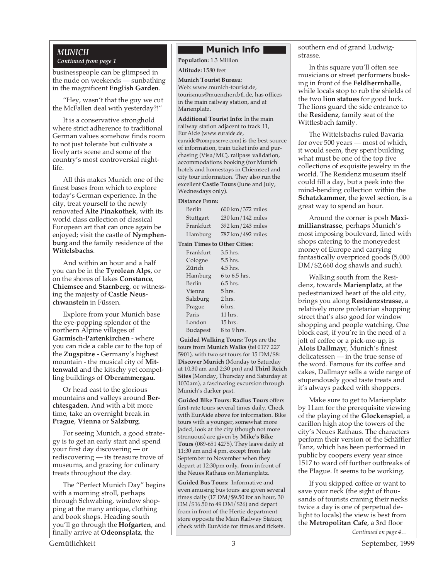#### *Continued from page 1*

businesspeople can be glimpsed in the nude on weekends — sunbathing in the magnificent **English Garden**.

"Hey, wasn't that the guy we cut the McFallen deal with yesterday?!"

It is a conservative stronghold where strict adherence to traditional German values somehow finds room to not just tolerate but cultivate a lively arts scene and some of the country's most controversial nightlife.

All this makes Munich one of the finest bases from which to explore today's German experience. In the city, treat yourself to the newly renovated **Alte Pinakothek**, with its world class collection of classical European art that can once again be enjoyed; visit the castle of **Nymphenburg** and the family residence of the **Wittelsbachs**.

And within an hour and a half you can be in the **Tyrolean Alps**, or on the shores of lakes **Constance**, **Chiemsee** and **Starnberg**, or witnessing the majesty of **Castle Neuschwanstein** in Füssen.

Explore from your Munich base the eye-popping splendor of the northern Alpine villages of **Garmisch-Partenkirchen** - where you can ride a cable car to the top of the **Zugspitze** - Germany's highest mountain - the musical city of **Mittenwald** and the kitschy yet compelling buildings of **Oberammergau**.

Or head east to the glorious mountains and valleys around **Berchtesgaden**. And with a bit more time, take an overnight break in **Prague**, **Vienna** or **Salzburg**.

For seeing Munich, a good strategy is to get an early start and spend your first day discovering — or rediscovering — its treasure trove of museums, and grazing for culinary treats throughout the day.

The "Perfect Munich Day" begins with a morning stroll, perhaps through Schwabing, window shopping at the many antique, clothing and book shops. Heading south you'll go through the **Hofgarten**, and finally arrive at **Odeonsplatz**, the

### *MUNICH* **Munich Info**

**Population:** 1.3 Million

**Altitude:** 1580 feet

**Munich Tourist Bureau**: Web: www.munich-tourist.de, tourismus@muenchen.btl.de, has offices in the main railway station, and at Marienplatz.

**Additional Tourist Info:** In the main railway station adjacent to track 11, EurAide (www.euraide.de, euraide@compuserve.com) is the best source of information, train ticket info and purchasing (Visa/MC), railpass validation, accommodations booking (for Munich hotels and homestays in Chiemsee) and city tour information. They also run the excellent **Castle Tours** (June and July, Wednesdays only).

#### **Distance From:**

| Berlin    | 600 km / 372 miles |
|-----------|--------------------|
| Stuttgart | 230 km / 142 miles |
| Frankfurt | 392 km / 243 miles |
| Hamburg   | 787 km / 492 miles |

**Train Times to Other Cities:**

| Frankfurt       | 3.5 hrs.      |
|-----------------|---------------|
| Cologne         | 5.5 hrs.      |
| Zürich          | 4.5 hrs.      |
| Hamburg         | 6 to 6.5 hrs. |
| Berlin          | $6.5$ hrs.    |
| Vienna          | 5 hrs.        |
| Salzburg        | 2 hrs.        |
| Prague          | 6 hrs.        |
| Paris           | 11 hrs.       |
| London          | 15 hrs.       |
| <b>Budapest</b> | 8 to 9 hrs.   |

**Guided Walking Tours:** Tops are the tours from **Munich Walks** (tel 0177 227 5901), with two set tours for 15 DM/\$8: **Discover Munich** (Monday to Saturday at 10.30 am and 2:30 pm) and **Third Reich Sites** (Monday, Thursday and Saturday at 1030am), a fascinating excursion through Munich's darker past.

**Guided Bike Tours: Radius Tours** offers first-rate tours several times daily. Check with EurAide above for information. Bike tours with a younger, somewhat more jaded, look at the city (though not more strenuous) are given by **Mike's Bike Tours** (089-651 4275). They leave daily at 11:30 am and 4 pm, except from late September to November when they depart at 12:30pm only, from in front of the Neues Rathaus on Marienplatz.

**Guided Bus Tours:** Informative and even amusing bus tours are given several times daily (17 DM/\$9.50 for an hour, 30 DM/\$16.50 to 49 DM/\$26) and depart from in front of the Hertie department store opposite the Main Railway Station; check with EurAide for times and tickets.

southern end of grand Ludwigstrasse.

In this square you'll often see musicians or street performers busking in front of the **Feldherrnhalle**, while locals stop to rub the shields of the two **lion statues** for good luck. The lions guard the side entrance to the **Residenz**, family seat of the Wittlesbach family.

The Wittelsbachs ruled Bavaria for over 500 years — most of which, it would seem, they spent building what must be one of the top five collections of exquisite jewelry in the world. The Residenz museum itself could fill a day, but a peek into the mind-bending collection within the **Schatzkammer**, the jewel section, is a great way to spend an hour.

Around the corner is posh **Maximillianstrasse**, perhaps Munich's most imposing boulevard, lined with shops catering to the moneyedest money of Europe and carrying fantastically overpriced goods (5,000 DM/\$2,660 dog shawls and such).

Walking south from the Residenz, towards **Marienplatz**, at the pedestrianized heart of the old city, brings you along **Residenzstrasse**, a relatively more proletarian shopping street that's also good for window shopping and people watching. One block east, if you're in the need of a jolt of coffee or a pick-me-up, is **Alois Dallmayr**, Munich's finest delicatessen — in the true sense of the word. Famous for its coffee and cakes, Dallmayr sells a wide range of stupendously good taste treats and it's always packed with shoppers.

Make sure to get to Marienplatz by 11am for the prerequisite viewing of the playing of the **Glockenspiel**, a carillon high atop the towers of the city's Neues Rathaus. The characters perform their version of the Schäffler Tanz, which has been performed in public by coopers every year since 1517 to ward off further outbreaks of the Plague. It seems to be working.

*Continued on page 4…* If you skipped coffee or want to save your neck (the sight of thousands of tourists craning their necks twice a day is one of perpetual delight to locals) the view is best from the **Metropolitan Cafe**, a 3rd floor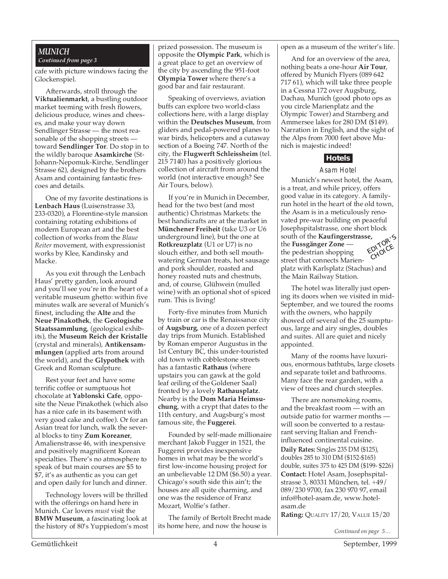#### *MUNICH Continued from page 3*

cafe with picture windows facing the Glockenspiel.

Afterwards, stroll through the **Viktualienmarkt**, a bustling outdoor market teeming with fresh flowers, delicious produce, wines and cheeses, and make your way down Sendlinger Strasse — the most reasonable of the shopping streets toward **Sendlinger Tor**. Do stop in to the wildly baroque **Asamkirche** (St-Johann-Nepomuk-Kirche, Sendlinger Strasse 62), designed by the brothers Asam and containing fantastic frescoes and details.

One of my favorite destinations is **Lenbach Haus** (Luisenstrasse 33, 233-0320), a Florentine-style mansion containing rotating exhibitions of modern European art and the best collection of works from the *Blaue Reiter* movement, with expressionist works by Klee, Kandinsky and Macke.

As you exit through the Lenbach Haus' pretty garden, look around and you'll see you're in the heart of a veritable museum ghetto: within five minutes walk are several of Munich's finest, including the **Alte** and the **Neue Pinakothek**, the **Geologische Staatssammlung**, (geological exhibits), the **Museum Reich der Kristalle** (crystal and minerals), **Antikensammlungen** (applied arts from around the world), and the **Glypothek** with Greek and Roman sculpture.

Rest your feet and have some terrific coffee or sumptuous hot chocolate at **Yablonski Cafe**, opposite the Neue Pinakothek (which also has a nice cafe in its basement with very good cake and coffee). Or for an Asian treat for lunch, walk the several blocks to tiny **Zum Koreaner**, Amalienstrasse 46, with inexpensive and positively magnificent Korean specialties. There's no atmosphere to speak of but main courses are \$5 to \$7, it's as authentic as you can get and open daily for lunch and dinner.

Technology lovers will be thrilled with the offerings on hand here in Munich. Car lovers *must* visit the **BMW Museum**, a fascinating look at the history of 80's Yuppiedom's most prized possession. The museum is opposite the **Olympic Park**, which is a great place to get an overview of the city by ascending the 951-foot **Olympia Tower** where there's a good bar and fair restaurant.

Speaking of overviews, aviation buffs can explore two world-class collections here, with a large display within the **Deutsches Museum**, from gliders and pedal-powered planes to war birds, helicopters and a cutaway section of a Boeing 747. North of the city, the **Flugwerft Schleissheim** (tel. 215 7140) has a positively glorious collection of aircraft from around the world (not interactive enough? See Air Tours, below).

If you're in Munich in December, head for the two best (and most authentic) Christmas Markets: the best handicrafts are at the market in **Münchener Freiheit** (take U3 or U6 underground line), but the one at **Rotkreuzplatz** (U1 or U7) is no slouch either, and both sell mouthwatering German treats, hot sausage and pork shoulder, roasted and honey roasted nuts and chestnuts, and, of course, Glühwein (mulled wine) with an optional shot of spiced rum. This is living!

Forty-five minutes from Munich by train or car is the Renaissance city of **Augsburg**, one of a dozen perfect day trips from Munich. Established by Roman emperor Augustus in the 1st Century BC, this under-touristed old town with cobblestone streets has a fantastic **Rathaus** (where upstairs you can gawk at the gold leaf ceiling of the Goldener Saal) fronted by a lovely **Rathausplatz**. Nearby is the **Dom Maria Heimsuchung**, with a crypt that dates to the 11th century, and Augsburg's most famous site, the **Fuggerei**.

Founded by self-made millionaire merchant Jakob Fugger in 1521, the Fuggerei provides inexpensive homes in what may be the world's first low-income housing project for an unbelievable 12 DM (\$6.50) a year. Chicago's south side this ain't; the houses are all quite charming, and one was the residence of Franz Mozart, Wolfie's father.

The family of Bertolt Brecht made its home here, and now the house is

open as a museum of the writer's life.

And for an overview of the area, nothing beats a one-hour **Air Tour**, offered by Munich Flyers (089 642 717 61), which will take three people in a Cessna 172 over Augsburg, Dachau, Munich (good photo ops as you circle Marienplatz and the Olympic Tower) and Starnberg and Ammersee lakes for 280 DM (\$149). Narration in English, and the sight of the Alps from 7000 feet above Munich is majestic indeed!

#### **Hotels**

#### Asam Hotel

Munich's newest hotel, the Asam, is a treat, and while pricey, offers good value in its category. A familyrun hotel in the heart of the old town, the Asam is in a meticulously renovated pre-war building on peaceful Josephspitalstrasse, one short block south of the **Kaufingerstrasse,** the **Fussgänger Zone** the pedestrian shopping street that connects Marien-EDITOR'<sup>S</sup> CHOICE



platz with Karlsplatz (Stachus) and the Main Railway Station.

The hotel was literally just opening its doors when we visited in mid-September, and we toured the rooms with the owners, who happily showed off several of the 25 sumptuous, large and airy singles, doubles and suites. All are quiet and nicely appointed.

Many of the rooms have luxurious, enormous bathtubs, large closets and separate toilet and bathrooms. Many face the rear garden, with a view of trees and church steeples.

There are nonsmoking rooms, and the breakfast room — with an outside patio for warmer months will soon be converted to a restaurant serving Italian and Frenchinfluenced continental cuisine. **Daily Rates:** Singles 235 DM (\$125), doubles 285 to 310 DM (\$152-\$165) double, suites 375 to 425 DM (\$199- \$226) **Contact:** Hotel Asam, Josephspitalstrasse 3, 80331 München, tel. +49/ 089/230 9700, fax 230 970 97, email info@hotel-asam.de, www.hotelasam.de

**Rating:** QUALITY 17/20, VALUE 15/20

*Continued on page 5…*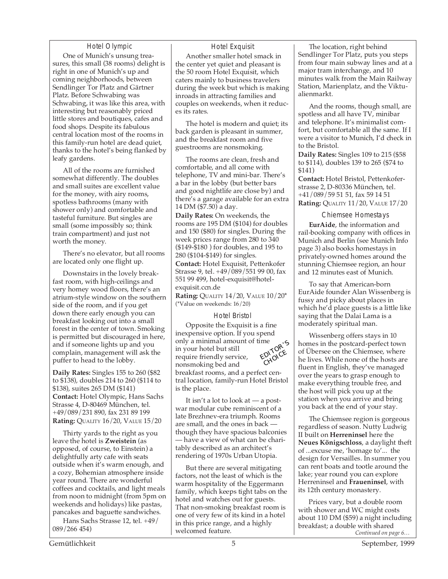#### Hotel Olympic

One of Munich's unsung treasures, this small (38 rooms) delight is right in one of Munich's up and coming neighborhoods, between Sendlinger Tor Platz and Gärtner Platz. Before Schwabing was Schwabing, it was like this area, with interesting but reasonably priced little stores and boutiques, cafes and food shops. Despite its fabulous central location most of the rooms in this family-run hotel are dead quiet, thanks to the hotel's being flanked by leafy gardens.

All of the rooms are furnished somewhat differently. The doubles and small suites are excellent value for the money, with airy rooms, spotless bathrooms (many with shower only) and comfortable and tasteful furniture. But singles are small (some impossibly so; think train compartment) and just not worth the money.

There's no elevator, but all rooms are located only one flight up.

Downstairs in the lovely breakfast room, with high-ceilings and very homey wood floors, there's an atrium-style window on the southern side of the room, and if you get down there early enough you can breakfast looking out into a small forest in the center of town. Smoking is permitted but discouraged in here, and if someone lights up and you complain, management will ask the puffer to head to the lobby.

**Daily Rates:** Singles 155 to 260 (\$82 to \$138), doubles 214 to 260 (\$114 to \$138), suites 265 DM (\$141) **Contact:** Hotel Olympic, Hans Sachs Strasse 4, D-80469 München, tel. +49/089/231 890, fax 231 89 199 **Rating:** QUALITY 16/20, VALUE 15/20

Thirty yards to the right as you leave the hotel is **Zweistein** (as opposed, of course, to Einstein) a delightfully arty cafe with seats outside when it's warm enough, and a cozy, Bohemian atmosphere inside year round. There are wonderful coffees and cocktails, and light meals from noon to midnight (from 5pm on weekends and holidays) like pastas, pancakes and baguette sandwiches.

Hans Sachs Strasse 12, tel. +49/ 089/266 454)

#### Hotel Exquisit

Another smaller hotel smack in the center yet quiet and pleasant is the 50 room Hotel Exquisit, which caters mainly to business travelers during the week but which is making inroads in attracting families and couples on weekends, when it reduces its rates.

The hotel is modern and quiet; its back garden is pleasant in summer, and the breakfast room and five guestrooms are nonsmoking.

The rooms are clean, fresh and comfortable, and all come with telephone, TV and mini-bar. There's a bar in the lobby (but better bars and good nightlife are close by) and there's a garage available for an extra 14 DM (\$7.50) a day.

**Daily Rates:** On weekends, the rooms are 195 DM (\$104) for doubles and 150 (\$80) for singles. During the week prices range from 280 to 340 (\$149-\$180 ) for doubles, and 195 to 280 (\$104-\$149) for singles. **Contact:** Hotel Exquisit, Pettenkofer Strasse 9, tel. +49/089/551 99 00, fax 551 99 499, hotel-exquisit@hotelexquisit.ccn.de

**Rating:** QUALITY 14/20, VALUE 10/20\* (\*Value on weekends: 16/20)

#### Hotel Bristol

Opposite the Exquisit is a fine inexpensive option. If you spend only a minimal amount of time in your hotel but still require friendly service, nonsmoking bed and breakfast rooms, and a perfect central location, family-run Hotel Bristol is the place. EDITOR'<sup>S</sup> CHOICE

It isn't a lot to look at — a postwar modular cube reminiscent of a late Brezhnev-era triumph. Rooms are small, and the ones in back though they have spacious balconies — have a view of what can be charitably described as an architect's rendering of 1970s Urban Utopia.

But there are several mitigating factors, not the least of which is the warm hospitality of the Eggermann family, which keeps tight tabs on the hotel and watches out for guests. That non-smoking breakfast room is one of very few of its kind in a hotel in this price range, and a highly welcomed feature.

The location, right behind Sendlinger Tor Platz, puts you steps from four main subway lines and at a major tram interchange, and 10 minutes walk from the Main Railway Station, Marienplatz, and the Viktualienmarkt.

And the rooms, though small, are spotless and all have TV, minibar and telephone. It's minimalist comfort, but comfortable all the same. If I were a visitor to Munich, I'd check in to the Bristol.

**Daily Rates:** Singles 109 to 215 (\$58 to \$114), doubles 139 to 265 (\$74 to \$141)

**Contact:** Hotel Bristol, Pettenkoferstrasse 2, D-80336 München, tel. +41/089/59 51 51, fax 59 14 51 **Rating:** QUALITY 11/20, VALUE 17/20

#### Chiemsee Homestays

**EurAide**, the information and rail-booking company with offices in Munich and Berlin (see Munich Info page 3) also books homestays in privately-owned homes around the stunning Chiemsee region, an hour and 12 minutes east of Munich.

To say that American-born EurAide founder Alan Wissenberg is fussy and picky about places in which he'd place guests is a little like saying that the Dalai Lama is a moderately spiritual man.

Wissenberg offers stays in 10 homes in the postcard-perfect town of Übersee on the Chiemsee, where he lives. While none of the hosts are fluent in English, they've managed over the years to grasp enough to make everything trouble free, and the host will pick you up at the station when you arrive and bring you back at the end of your stay.

The Chiemsee region is gorgeous regardless of season. Nutty Ludwig II built on **Herreninsel** here the **Neues Königschloss**, a daylight theft of ...excuse me, 'homage to'... the design for Versailles. In summer you can rent boats and tootle around the lake; year round you can explore Herreninsel and **Fraueninsel**, with its 12th century monastery.

*Continued on page 6…* Prices vary, but a double room with shower and WC might costs about 110 DM (\$59) a night including breakfast; a double with shared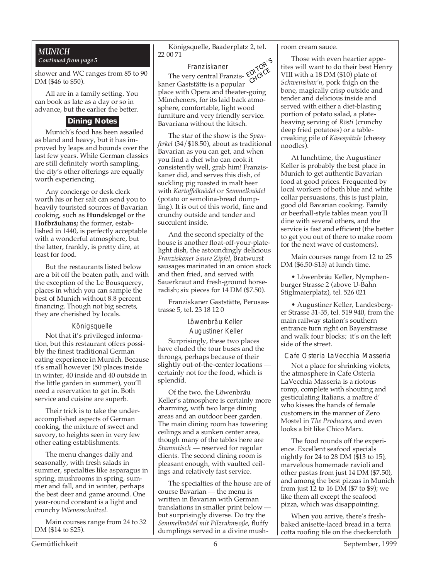#### *MUNICH Continued from page 5*

shower and WC ranges from 85 to 90 DM (\$46 to \$50).

All are in a family setting. You can book as late as a day or so in advance, but the earlier the better.

#### **Dining Notes**

Munich's food has been assailed as bland and heavy, but it has improved by leaps and bounds over the last few years. While German classics are still definitely worth sampling, the city's other offerings are equally worth experiencing.

Any concierge or desk clerk worth his or her salt can send you to heavily touristed sources of Bavarian cooking, such as **Hundskugel** or the **Hofbräuhaus;** the former, established in 1440, is perfectly acceptable with a wonderful atmosphere, but the latter, frankly, is pretty dire, at least for food.

But the restaurants listed below are a bit off the beaten path, and with the exception of the Le Bousquerey, places in which you can sample the best of Munich without 8.8 percent financing. Though not big secrets, they are cherished by locals.

#### Königsquelle

Not that it's privileged information, but this restaurant offers possibly the finest traditional German eating experience in Munich. Because it's small however (50 places inside in winter, 40 inside and 40 outside in the little garden in summer), you'll need a reservation to get in. Both service and cuisine are superb.

Their trick is to take the underaccomplished aspects of German cooking, the mixture of sweet and savory, to heights seen in very few other eating establishments.

The menu changes daily and seasonally, with fresh salads in summer, specialties like asparagus in spring, mushrooms in spring, summer and fall, and in winter, perhaps the best deer and game around. One year-round constant is a light and crunchy *Wienerschnitzel*.

Main courses range from 24 to 32 DM (\$14 to \$25).

Königsquelle, Baaderplatz 2, tel. 22 00 71

# EDITOR'S

Franziskaner The very central Franziskaner Gaststätte is a popular place with Opera and theater-going Müncheners, for its laid back atmosphere, comfortable, light wood furniture and very friendly service. Bavariana without the kitsch. CHOICE

The star of the show is the *Spanferkel* (34/\$18.50), about as traditional Bavarian as you can get, and when you find a chef who can cook it consistently well, grab him! Franziskaner did, and serves this dish, of suckling pig roasted in malt beer with *Kartoffelknödel* or *Semmelknödel* (potato or semolina-bread dumpling). It is out of this world, fine and crunchy outside and tender and succulent inside.

And the second specialty of the house is another float-off-your-platelight dish, the astoundingly delicious *Franziskaner Saure Zipfel*, Bratwurst sausages marinated in an onion stock and then fried, and served with Sauerkraut and fresh-ground horseradish; six pieces for 14 DM (\$7.50).

Franziskaner Gaststätte, Perusastrasse 5, tel. 23 18 12 0

> Löwenbräu Keller Augustiner Keller

Surprisingly, these two places have eluded the tour buses and the throngs, perhaps because of their slightly out-of-the-center locations certainly not for the food, which is splendid.

Of the two, the Löwenbräu Keller's atmosphere is certainly more charming, with two large dining areas and an outdoor beer garden. The main dining room has towering ceilings and a sunken center area, though many of the tables here are *Stammtisch* — reserved for regular clients. The second dining room is pleasant enough, with vaulted ceilings and relatively fast service.

The specialties of the house are of course Bavarian — the menu is written in Bavarian with German translations in smaller print below but surprisingly diverse. Do try the *Semmelknödel mit Pilzrahmsoße*, fluffy dumplings served in a divine mushroom cream sauce.

Those with even heartier appetites will want to do their best Henry VIII with a 18 DM (\$10) plate of *Schweinshax'n*, pork thigh on the bone, magically crisp outside and tender and delicious inside and served with either a diet-blasting portion of potato salad, a plateheaving serving of *Rösti* (crunchy deep fried potatoes) or a tablecreaking pile of *Käsespätzle* (cheesy noodles).

At lunchtime, the Augustiner Keller is probably the best place in Munich to get authentic Bavarian food at good prices. Frequented by local workers of both blue and white collar persuasions, this is just plain, good old Bavarian cooking. Family or beerhall-style tables mean you'll dine with several others, and the service is fast and efficient (the better to get you out of there to make room for the next wave of customers).

Main courses range from 12 to 25 DM (\$6.50-\$13) at lunch time.

• Löwenbräu Keller, Nymphenburger Strasse 2 (above U-Bahn Stiglmaierplatz), tel. 526 021

• Augustiner Keller, Landesberger Strasse 31-35, tel. 519 940, from the main railway station's southern entrance turn right on Bayerstrasse and walk four blocks; it's on the left side of the street.

Cafe Osteria LaVecchia Masseria

Not a place for shrinking violets, the atmosphere in Cafe Osteria LaVecchia Masseria is a riotous romp, complete with shouting and gesticulating Italians, a maître d' who kisses the hands of female customers in the manner of Zero Mostel in *The Producers*, and even looks a bit like Chico Marx.

The food rounds off the experience. Excellent seafood specials nightly for 24 to 28 DM (\$13 to 15), marvelous homemade ravioli and other pastas from just 14 DM (\$7.50), and among the best pizzas in Munich from just 12 to 16 DM (\$7 to \$9); we like them all except the seafood pizza, which was disappointing.

When you arrive, there's freshbaked anisette-laced bread in a terra cotta roofing tile on the checkercloth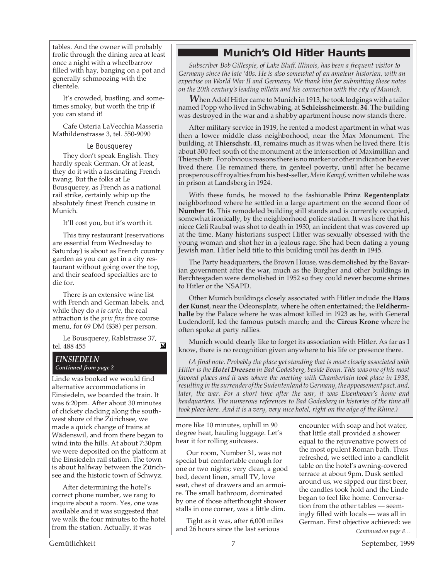tables. And the owner will probably frolic through the dining area at least once a night with a wheelbarrow filled with hay, banging on a pot and generally schmoozing with the clientele.

It's crowded, bustling, and sometimes smoky, but worth the trip if you can stand it!

Cafe Osteria LaVecchia Masseria Mathildenstrasse 3, tel. 550-9090

Le Bousquerey

They don't speak English. They hardly speak German. Or at least, they do it with a fascinating French twang. But the folks at Le Bousquerey, as French as a national rail strike, certainly whip up the absolutely finest French cuisine in Munich.

It'll cost you, but it's worth it.

This tiny restaurant (reservations are essential from Wednesday to Saturday) is about as French country garden as you can get in a city restaurant without going over the top, and their seafood specialties are to die for.

There is an extensive wine list with French and German labels, and, while they do *a la carte*, the real attraction is the *prix fixe* five course menu, for 69 DM (\$38) per person.

Le Bousquerey, Rablstrasse 37, tel. 488 455 M

#### *EINSIEDELN Continued from page 2*

Linde was booked we would find alternative accommodations in Einsiedeln, we boarded the train. It was 6:20pm. After about 30 minutes of clickety clacking along the southwest shore of the Zürichsee, we made a quick change of trains at Wädenswil, and from there began to wind into the hills. At about 7:30pm we were deposited on the platform at the Einsiedeln rail station. The town is about halfway between the Zürichsee and the historic town of Schwyz.

After determining the hotel's correct phone number, we rang to inquire about a room. Yes, one was available and it was suggested that we walk the four minutes to the hotel from the station. Actually, it was

### **Munich's Old Hitler Haunts**

*Subscriber Bob Gillespie, of Lake Bluff, Illinois, has been a frequent visitor to Germany since the late '40s. He is also somewhat of an amateur historian, with an expertise on World War II and Germany. We thank him for submitting these notes on the 20th century's leading villain and his connection with the city of Munich.*

*W*hen Adolf Hitler came to Munich in 1913, he took lodgings with a tailor named Popp who lived in Schwabing, at **Schleissheimerstr. 34**. The building was destroyed in the war and a shabby apartment house now stands there.

After military service in 1919, he rented a modest apartment in what was then a lower middle class neighborhood, near the Max Monument. The building, at **Thierschstr. 41**, remains much as it was when he lived there. It is about 300 feet south of the monument at the intersection of Maximillian and Thierschstr. For obvious reasons there is no marker or other indication he ever lived there. He remained there, in genteel poverty, until after he became prosperous off royalties from his best-seller, *Mein Kampf*, written while he was in prison at Landsberg in 1924.

With these funds, he moved to the fashionable **Prinz Regentenplatz** neighborhood where he settled in a large apartment on the second floor of **Number 16**. This remodeled building still stands and is currently occupied, somewhat ironically, by the neighborhood police station. It was here that his niece Geli Raubal was shot to death in 1930, an incident that was covered up at the time. Many historians suspect Hitler was sexually obsessed with the young woman and shot her in a jealous rage. She had been dating a young Jewish man. Hitler held title to this building until his death in 1945.

The Party headquarters, the Brown House, was demolished by the Bavarian government after the war, much as the Burgher and other buildings in Berchtesgaden were demolished in 1952 so they could never become shrines to Hitler or the NSAPD.

Other Munich buildings closely associated with Hitler include the **Haus der Kunst**, near the Odeonsplatz, where he often entertained; the **Feldherrnhalle** by the Palace where he was almost killed in 1923 as he, with General Ludendorff, led the famous putsch march; and the **Circus Krone** where he often spoke at party rallies.

Munich would clearly like to forget its association with Hitler. As far as I know, there is no recognition given anywhere to his life or presence there.

*(A final note. Probably the place yet standing that is most closely associated with Hitler is the Hotel Dreesen in Bad Godesberg, beside Bonn. This was one of his most favored places and it was where the meeting with Chamberlain took place in 1938, resulting in the surrender of the Sudentenland to Germany, the appeasement pact, and, later, the war. For a short time after the war, it was Eisenhower's home and headquarters. The numerous references to Bad Godesberg in histories of the time all took place here. And it is a very, very nice hotel, right on the edge of the Rhine.)*

more like 10 minutes, uphill in 90 degree heat, hauling luggage. Let's hear it for rolling suitcases.

Our room, Number 31, was not special but comfortable enough for one or two nights; very clean, a good bed, decent linen, small TV, love seat, chest of drawers and an armoire. The small bathroom, dominated by one of those afterthought shower stalls in one corner, was a little dim.

Tight as it was, after 6,000 miles and 26 hours since the last serious

encounter with soap and hot water, that little stall provided a shower equal to the rejuvenative powers of the most opulent Roman bath. Thus refreshed, we settled into a candlelit table on the hotel's awning-covered terrace at about 9pm. Dusk settled around us, we sipped our first beer, the candles took hold and the Linde began to feel like home. Conversation from the other tables — seemingly filled with locals — was all in German. First objective achieved: we

*Continued on page 8…*